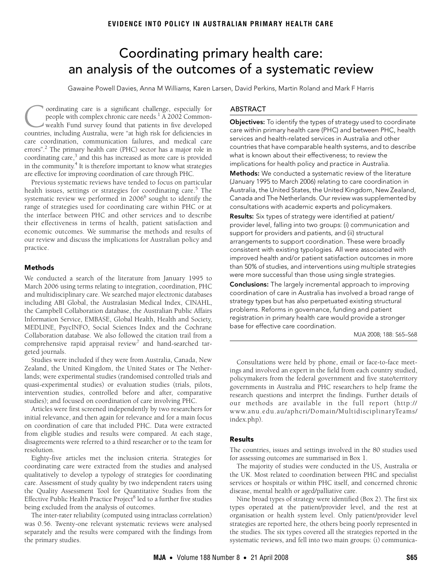# <span id="page-0-0"></span>Coordinating primary health care: an analysis of the outcomes of a systematic review

Gawaine Powell Davies, Anna M Williams, Karen Larsen, David Perkins, Martin Roland and Mark F Harris

in the community.<sup>[4](#page-3-4)</sup> It is therefore important to know what strategies are effective for improving coord[ina](#page-0-0)ti[on](#page-3-0) of care through PHC. oordinating care is a significant challenge, especially for people with complex chronic care needs.<sup>[1](#page-3-1)</sup> A 2002 Commonwealth Fund survey found that patients in five developed cordinating care is a significant challenge, especially for people with complex chronic care needs.<sup>1</sup> A 2002 Common-wealth Fund survey found that patients in five developed countries, including Australia, were "at high ri care coordination, communication failures, and medical care errors".<sup>2</sup> The primary health care (PHC) sector has a major role in coordinating care,<sup>3</sup> and this has increased as more care is provided

Previous systematic reviews have tended to focus on particular health issues, settings or strategies for coordinating care.<sup>[5](#page-3-5)</sup> The systematic review we performed in 2006<sup>6</sup> sought to identify the range of strategies used for coordinating care within PHC or at the interface between PHC and other services and to describe their effectiveness in terms of health, patient satisfaction and economic outcomes. We summarise the methods and results of our review and discuss the implications for Australian policy and practice.

#### Methods

We conducted a search of the literature from January 1995 to March 2006 using terms relating to integration, coordination, PHC and multidisciplinary care. We searched major electronic databases including ABI Global, the Australasian Medical Index, CINAHL, the Campbell Collaboration database, the Australian Public Affairs Information Service, EMBASE, Global Health, Health and Society, MEDLINE, PsycINFO, Social Sciences Index and the Cochrane Collaboration database. We also followed the citation trail from a comprehensive rapid appraisal review<sup>[7](#page-3-7)</sup> and hand-searched targeted journals.

Studies were included if they were from Australia, Canada, New Zealand, the United Kingdom, the United States or The Netherlands; were experimental studies (randomised controlled trials and quasi-experimental studies) or evaluation studies (trials, pilots, intervention studies, controlled before and after, comparative studies); and focused on coordination of care involving PHC.

Articles were first screened independently by two researchers for initial relevance, and then again for relevance and for a main focus on coordination of care that included PHC. Data were extracted from eligible studies and results were compared. At each stage, disagreements were referred to a third researcher or to the team for resolution.

Eighty-five articles met the inclusion criteria. Strategies for coordinating care were extracted from the studies and analysed qualitatively to develop a typology of strategies for coordinating care. Assessment of study quality by two independent raters using the Quality Assessment Tool for Quantitative Studies from the Effective Public Health Practice Project<sup>[8](#page-3-8)</sup> led to a further five studies being excluded from the analysis of outcomes.

The inter-rater reliability (computed using intraclass correlation) was 0.56. Twenty-one relevant systematic reviews were analysed separately and the results were compared with the findings from the primary studies.

## ABSTRACT

**Objectives:** To identify the types of strategy used to coordinate care within primary health care (PHC) and between PHC, health services and health-related services in Australia and other countries that have comparable health systems, and to describe what is known about their effectiveness; to review the implications for health policy and practice in Australia.

Methods: We conducted a systematic review of the literature (January 1995 to March 2006) relating to care coordination in Australia, the United States, the United Kingdom, New Zealand, Canada and The Netherlands. Our review was supplemented by consultations with academic experts and policymakers.

Results: Six types of strategy were identified at patient/ provider level, falling into two groups: (i) communication and support for providers and patients, and (ii) structural arrangements to support coordination. These were broadly consistent with existing typologies. All were associated with improved health and/or patient satisfaction outcomes in more than 50% of studies, and interventions using multiple strategies were more successful than those using single strategies.

Conclusions: The largely incremental approach to improving coordination of care in Australia has involved a broad range of strategy types but has also perpetuated existing structural problems. Reforms in governance, funding and patient registration in primary health care would provide a stronger base for effective care coordination.

MJA 2008; 188: S65–S68

Consultations were held by phone, email or face-to-face meetings and involved an expert in the field from each country studied, policymakers from the federal government and five state/territory governments in Australia and PHC researchers to help frame the research questions and interpret the findings. Further details of our methods are available in the full report (http:// www.anu.edu.au/aphcri/Domain/MultidisciplinaryTeams/ index.php).

## Results

The countries, issues and settings involved in the 80 studies used for assessing outcomes are summarised in Box 1.

The majority of studies were conducted in the US, Australia or the UK. Most related to coordination between PHC and specialist services or hospitals or within PHC itself, and concerned chronic disease, mental health or aged/palliative care.

Nine broad types of strategy were identified (Box 2). The first six types operated at the patient/provider level, and the rest at organisation or health system level. Only patient/provider level strategies are reported here, the others being poorly represented in the studies. The six types covered all the strategies reported in the systematic reviews, and fell into two main groups: (i) communica-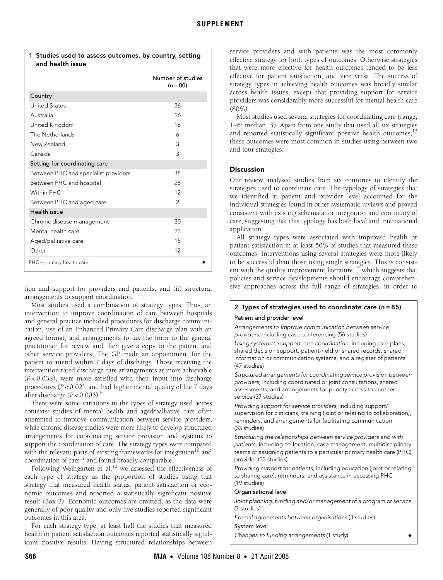| Country<br><b>United States</b><br>36<br>16<br>Australia<br>16<br>United Kingdom<br>The Netherlands<br>6<br>New Zealand<br>3<br>3<br>Canada<br>Setting for coordinating care<br>38<br>Between PHC and specialist providers<br>28<br>Between PHC and hospital<br>Within PHC.<br>12<br>$\mathcal{P}$<br>Between PHC and aged care<br>Health issue<br>Chronic disease management<br>30<br>Mental health care<br>23<br>15<br>Aged/palliative care<br>Other<br>12 | Number of studies<br>$(n = 80)$ |
|--------------------------------------------------------------------------------------------------------------------------------------------------------------------------------------------------------------------------------------------------------------------------------------------------------------------------------------------------------------------------------------------------------------------------------------------------------------|---------------------------------|
|                                                                                                                                                                                                                                                                                                                                                                                                                                                              |                                 |
|                                                                                                                                                                                                                                                                                                                                                                                                                                                              |                                 |
|                                                                                                                                                                                                                                                                                                                                                                                                                                                              |                                 |
|                                                                                                                                                                                                                                                                                                                                                                                                                                                              |                                 |
|                                                                                                                                                                                                                                                                                                                                                                                                                                                              |                                 |
|                                                                                                                                                                                                                                                                                                                                                                                                                                                              |                                 |
|                                                                                                                                                                                                                                                                                                                                                                                                                                                              |                                 |
|                                                                                                                                                                                                                                                                                                                                                                                                                                                              |                                 |
|                                                                                                                                                                                                                                                                                                                                                                                                                                                              |                                 |
|                                                                                                                                                                                                                                                                                                                                                                                                                                                              |                                 |
|                                                                                                                                                                                                                                                                                                                                                                                                                                                              |                                 |
|                                                                                                                                                                                                                                                                                                                                                                                                                                                              |                                 |
|                                                                                                                                                                                                                                                                                                                                                                                                                                                              |                                 |
|                                                                                                                                                                                                                                                                                                                                                                                                                                                              |                                 |
|                                                                                                                                                                                                                                                                                                                                                                                                                                                              |                                 |
|                                                                                                                                                                                                                                                                                                                                                                                                                                                              |                                 |
|                                                                                                                                                                                                                                                                                                                                                                                                                                                              |                                 |

 $1$  Studies used to assess outcomes, by country, setting  $\mathbf{r}$ 

tion and support for providers and patients, and (ii) structural arrangements to support coordination.

Most studies used a combination of strategy types. Thus, an intervention to improve coordination of care between hospitals and general practice included procedures for discharge communication, use of an Enhanced Primary Care discharge plan with an agreed format, and arrangements to fax the form to the general practitioner for review and then give a copy to the patient and other service providers. The GP made an appointment for the patient to attend within 7 days of discharge. Those receiving the intervention rated discharge care arrangements as more achievable (*P* < 0.038), were more satisfied with their input into discharge procedures (*P* < 0.02), and had higher mental quality of life 7 days after discharge  $(P < 0.003)$ .<sup>[9](#page-3-9)</sup>

There were some variations in the types of strategy used across contexts: studies of mental health and aged/palliative care often attempted to improve communication between service providers, while chronic disease studies were more likely to develop structured arrangements for coordinating service provision and systems to support the coordination of care. The strategy types were compared with the relevant parts of existing frameworks for integration<sup>10</sup> and coordination of care $11$  and found broadly comparable.

Following Weingarten et al,<sup>12</sup> we assessed the effectiveness of each type of strategy as the proportion of studies using that strategy that measured health status, patient satisfaction or economic outcomes and reported a statistically significant positive result (Box 3). Economic outcomes are omitted, as the data were generally of poor quality and only five studies reported significant outcomes in this area.

For each strategy type, at least half the studies that measured health or patient satisfaction outcomes reported statistically significant positive results. Having structured relationships between

service providers and with patients was the most commonly effective strategy for both types of outcomes. Otherwise strategies that were more effective for health outcomes tended to be less effective for patient satisfaction, and vice versa. The success of strategy types in achieving health outcomes was broadly similar across health issues, except that providing support for service providers was considerably more successful for mental health care (80%).

Most studies used several strategies for coordinating care (range, 1–6; median, 3). Apart from one study that used all six strategies and reported statistically significant positive health outcomes, $^{13}$  $^{13}$  $^{13}$ these outcomes were most common in studies using between two and four strategies.

# **Discussion**

Our review analysed studies from six countries to identify the strategies used to coordinate care. The typology of strategies that we identified at patient and provider level accounted for the individual strategies found in other systematic reviews and proved consistent with existing schemata for integration and continuity of care, suggesting that this typology has both local and international application.

All strategy types were associated with improved health or patient satisfaction in at least 50% of studies that measured these outcomes. Interventions using several strategies were more likely to be successful than those using single strategies. This is consistent with the quality improvement literature,<sup>14</sup> which suggests that policies and service developments should encourage comprehensive approaches across the full range of strategies, in order to

# 2 Types of strategies used to coordinate care  $(n=85)$

## Patient and provider level

Arrangements to improve communication between service providers, including case conferencing (56 studies)

Using systems to support care coordination, including care plans, shared decision support, patient-held or shared records, shared information or communication systems, and a register of patients (47 studies)

Structured arrangements for coordinating service provision between providers, including coordinated or joint consultations, shared assessments, and arrangements for priority access to another service (37 studies)

Providing support for service providers, including support/ supervision for clinicians, training (joint or relating to collaboration), reminders, and arrangements for facilitating communication (33 studies)

Structuring the relationships between service providers and with patients, including co-location, case management, multidisciplinary teams or assigning patients to a particular primary health care (PHC) provider (33 studies)

Providing support for patients, including education (joint or relating to sharing care), reminders, and assistance in accessing PHC (19 studies)

#### Organisational level

Joint planning, funding and/or management of a program or service (7 studies)

Formal agreements between organisations (3 studies)

#### System level

Changes to funding arrangements (1 study)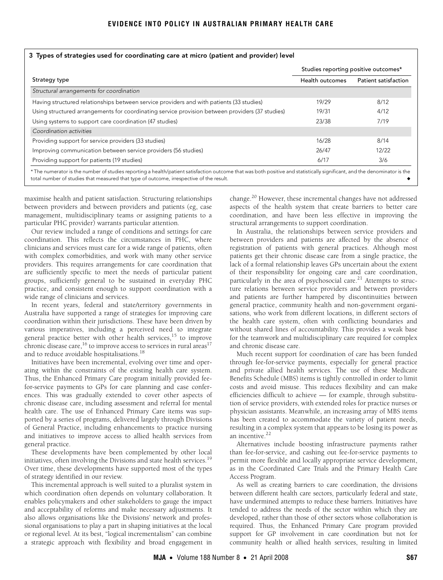| 3 Types of strategies used for coordinating care at micro (patient and provider) level          |                                      |                      |  |
|-------------------------------------------------------------------------------------------------|--------------------------------------|----------------------|--|
|                                                                                                 | Studies reporting positive outcomes* |                      |  |
| Strategy type                                                                                   | Health outcomes                      | Patient satisfaction |  |
| Structural arrangements for coordination                                                        |                                      |                      |  |
| Having structured relationships between service providers and with patients (33 studies)        | 19/29                                | 8/12                 |  |
| Using structured arrangements for coordinating service provision between providers (37 studies) | 19/31                                | 4/12                 |  |
| Using systems to support care coordination (47 studies)                                         | 23/38                                | 7/19                 |  |
| Coordination activities                                                                         |                                      |                      |  |
| Providing support for service providers (33 studies)                                            | 16/28                                | 8/14                 |  |
| Improving communication between service providers (56 studies)                                  | 26/47                                | 12/22                |  |
| Providing support for patients (19 studies)                                                     | 6/17                                 | 3/6                  |  |

maximise health and patient satisfaction. Structuring relationships between providers and between providers and patients (eg, case management, multidisciplinary teams or assigning patients to a particular PHC provider) warrants particular attention.

Our review included a range of conditions and settings for care coordination. This reflects the circumstances in PHC, where clinicians and services must care for a wide range of patients, often with complex comorbidities, and work with many other service providers. This requires arrangements for care coordination that are sufficiently specific to meet the needs of particular patient groups, sufficiently general to be sustained in everyday PHC practice, and consistent enough to support coordination with a wide range of clinicians and services.

In recent years, federal and state/territory governments in Australia have supported a range of strategies for improving care coordination within their jurisdictions. These have been driven by various imperatives, including a perceived need to integrate general practice better with other health services,<sup>15</sup> to improve chronic disease care,  $^{16}$  to improve access to services in rural areas  $^{17}$ and to reduce avoidable hospitalisations.<sup>[18](#page-3-18)</sup>

Initiatives have been incremental, evolving over time and operating within the constraints of the existing health care system. Thus, the Enhanced Primary Care program initially provided feefor-service payments to GPs for care planning and case conferences. This was gradually extended to cover other aspects of chronic disease care, including assessment and referral for mental health care. The use of Enhanced Primary Care items was supported by a series of programs, delivered largely through Divisions of General Practice, including enhancements to practice nursing and initiatives to improve access to allied health services from general practice.

These developments have been complemented by other local initiatives, often involving the Divisions and state health services.<sup>[19](#page-3-19)</sup> Over time, these developments have supported most of the types of strategy identified in our review.

This incremental approach is well suited to a pluralist system in which coordination often depends on voluntary collaboration. It enables policymakers and other stakeholders to gauge the impact and acceptability of reforms and make necessary adjustments. It also allows organisations like the Divisions' network and professional organisations to play a part in shaping initiatives at the local or regional level. At its best, "logical incrementalism" can combine a strategic approach with flexibility and broad engagement in

change[.20](#page-3-20) However, these incremental changes have not addressed aspects of the health system that create barriers to better care coordination, and have been less effective in improving the structural arrangements to support coordination.

In Australia, the relationships between service providers and between providers and patients are affected by the absence of registration of patients with general practices. Although most patients get their chronic disease care from a single practice, the lack of a formal relationship leaves GPs uncertain about the extent of their responsibility for ongoing care and care coordination, particularly in the area of psychosocial care.<sup>21</sup> Attempts to structure relations between service providers and between providers and patients are further hampered by discontinuities between general practice, community health and non-government organisations, who work from different locations, in different sectors of the health care system, often with conflicting boundaries and without shared lines of accountability. This provides a weak base for the teamwork and multidisciplinary care required for complex and chronic disease care.

Much recent support for coordination of care has been funded through fee-for-service payments, especially for general practice and private allied health services. The use of these Medicare Benefits Schedule (MBS) items is tightly controlled in order to limit costs and avoid misuse. This reduces flexibility and can make efficiencies difficult to achieve — for example, through substitution of service providers, with extended roles for practice nurses or physician assistants. Meanwhile, an increasing array of MBS items has been created to accommodate the variety of patient needs, resulting in a complex system that appears to be losing its power as an incentive.<sup>22</sup>

Alternatives include boosting infrastructure payments rather than fee-for-service, and cashing out fee-for-service payments to permit more flexible and locally appropriate service development, as in the Coordinated Care Trials and the Primary Health Care Access Program.

As well as creating barriers to care coordination, the divisions between different health care sectors, particularly federal and state, have undermined attempts to reduce these barriers. Initiatives have tended to address the needs of the sector within which they are developed, rather than those of other sectors whose collaboration is required. Thus, the Enhanced Primary Care program provided support for GP involvement in care coordination but not for community health or allied health services, resulting in limited